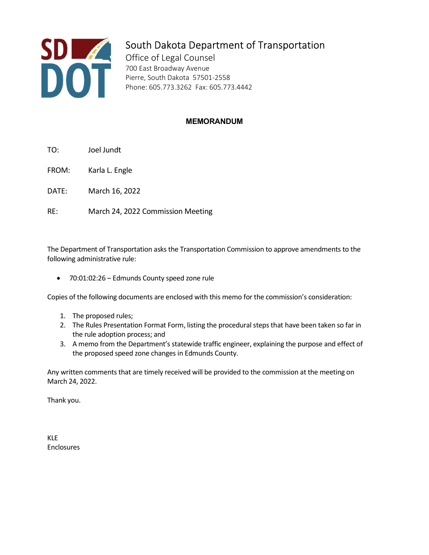

## South Dakota Department of Transportation

Office of Legal Counsel 700 East Broadway Avenue Pierre, South Dakota 57501-2558 Phone: 605.773.3262 Fax: 605.773.4442

## MEMORANDUM

- TO: Joel Jundt
- FROM: Karla L. Engle
- DATE: March 16, 2022
- RE: March 24, 2022 Commission Meeting

The Department of Transportation asks the Transportation Commission to approve amendments to the following administrative rule:

70:01:02:26 – Edmunds County speed zone rule

Copies of the following documents are enclosed with this memo for the commission's consideration:

- 1. The proposed rules;
- 2. The Rules Presentation Format Form, listing the procedural steps that have been taken so far in the rule adoption process; and
- 3. A memo from the Department's statewide traffic engineer, explaining the purpose and effect of the proposed speed zone changes in Edmunds County.

Any written comments that are timely received will be provided to the commission at the meeting on March 24, 2022.

Thank you.

KLE Enclosures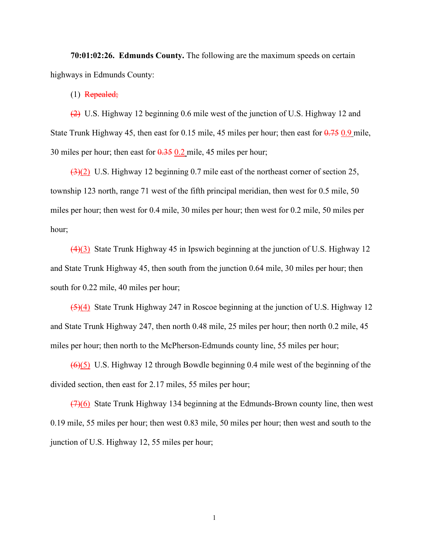**70:01:02:26. Edmunds County.** The following are the maximum speeds on certain highways in Edmunds County:

(1) Repealed;

(2) U.S. Highway 12 beginning 0.6 mile west of the junction of U.S. Highway 12 and State Trunk Highway 45, then east for 0.15 mile, 45 miles per hour; then east for  $0.75$  0.9 mile, 30 miles per hour; then east for  $0.35$  0.2 mile, 45 miles per hour;

(3)(2) U.S. Highway 12 beginning 0.7 mile east of the northeast corner of section 25, township 123 north, range 71 west of the fifth principal meridian, then west for 0.5 mile, 50 miles per hour; then west for 0.4 mile, 30 miles per hour; then west for 0.2 mile, 50 miles per hour;

(4)(3) State Trunk Highway 45 in Ipswich beginning at the junction of U.S. Highway 12 and State Trunk Highway 45, then south from the junction 0.64 mile, 30 miles per hour; then south for 0.22 mile, 40 miles per hour;

(5)(4) State Trunk Highway 247 in Roscoe beginning at the junction of U.S. Highway 12 and State Trunk Highway 247, then north 0.48 mile, 25 miles per hour; then north 0.2 mile, 45 miles per hour; then north to the McPherson-Edmunds county line, 55 miles per hour;

 $(6)(5)$  U.S. Highway 12 through Bowdle beginning 0.4 mile west of the beginning of the divided section, then east for 2.17 miles, 55 miles per hour;

(7)(6) State Trunk Highway 134 beginning at the Edmunds-Brown county line, then west 0.19 mile, 55 miles per hour; then west 0.83 mile, 50 miles per hour; then west and south to the junction of U.S. Highway 12, 55 miles per hour;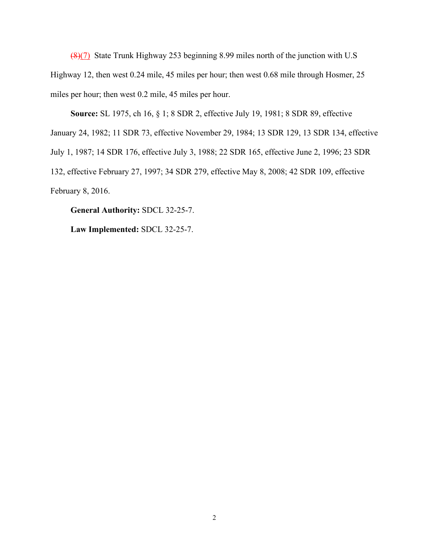(8)(7) State Trunk Highway 253 beginning 8.99 miles north of the junction with U.S Highway 12, then west 0.24 mile, 45 miles per hour; then west 0.68 mile through Hosmer, 25 miles per hour; then west 0.2 mile, 45 miles per hour.

**Source:** SL 1975, ch 16, § 1; 8 SDR 2, effective July 19, 1981; 8 SDR 89, effective January 24, 1982; 11 SDR 73, effective November 29, 1984; 13 SDR 129, 13 SDR 134, effective July 1, 1987; 14 SDR 176, effective July 3, 1988; 22 SDR 165, effective June 2, 1996; 23 SDR 132, effective February 27, 1997; 34 SDR 279, effective May 8, 2008; 42 SDR 109, effective February 8, 2016.

**General Authority:** SDCL 32-25-7.

**Law Implemented:** SDCL 32-25-7.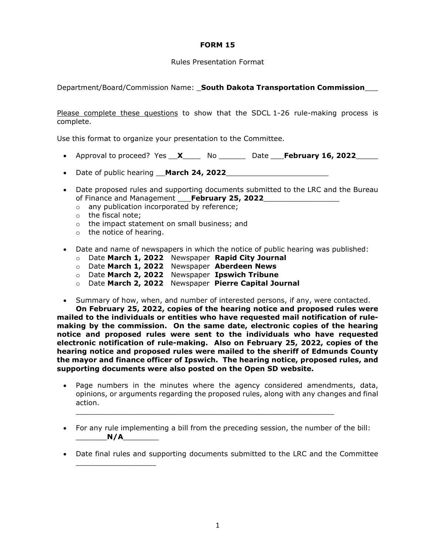## **FORM 15**

## Rules Presentation Format

Department/Board/Commission Name: \_**South Dakota Transportation Commission**\_\_\_

Please complete these questions to show that the SDCL 1-26 rule-making process is complete.

Use this format to organize your presentation to the Committee.

- Approval to proceed? Yes  $X$  No  $Z$  Date February 16, 2022
- Date of public hearing **March 24, 2022**
- Date proposed rules and supporting documents submitted to the LRC and the Bureau of Finance and Management \_\_\_**February 25, 2022**\_\_\_\_\_\_\_\_\_\_\_\_\_\_\_\_\_
	- o any publication incorporated by reference;
	- o the fiscal note;
	- o the impact statement on small business; and
	- o the notice of hearing.

\_\_\_\_\_\_\_\_\_\_\_\_\_\_\_\_\_\_

- Date and name of newspapers in which the notice of public hearing was published:
	- o Date **March 1, 2022** Newspaper **Rapid City Journal**
	- o Date **March 1, 2022** Newspaper **Aberdeen News**
	- o Date **March 2, 2022** Newspaper **Ipswich Tribune**
	- o Date **March 2, 2022** Newspaper **Pierre Capital Journal**
- Summary of how, when, and number of interested persons, if any, were contacted.

**On February 25, 2022, copies of the hearing notice and proposed rules were mailed to the individuals or entities who have requested mail notification of rulemaking by the commission. On the same date, electronic copies of the hearing notice and proposed rules were sent to the individuals who have requested electronic notification of rule-making. Also on February 25, 2022, copies of the hearing notice and proposed rules were mailed to the sheriff of Edmunds County the mayor and finance officer of Ipswich. The hearing notice, proposed rules, and supporting documents were also posted on the Open SD website.**

- Page numbers in the minutes where the agency considered amendments, data, opinions, or arguments regarding the proposed rules, along with any changes and final action.
- For any rule implementing a bill from the preceding session, the number of the bill:  $N/A$

\_\_\_\_\_\_\_\_\_\_\_\_\_\_\_\_\_\_\_\_\_\_\_\_\_\_\_\_\_\_\_\_\_\_\_\_\_\_\_\_\_\_\_\_\_\_\_\_\_\_\_\_\_\_\_\_\_\_

• Date final rules and supporting documents submitted to the LRC and the Committee